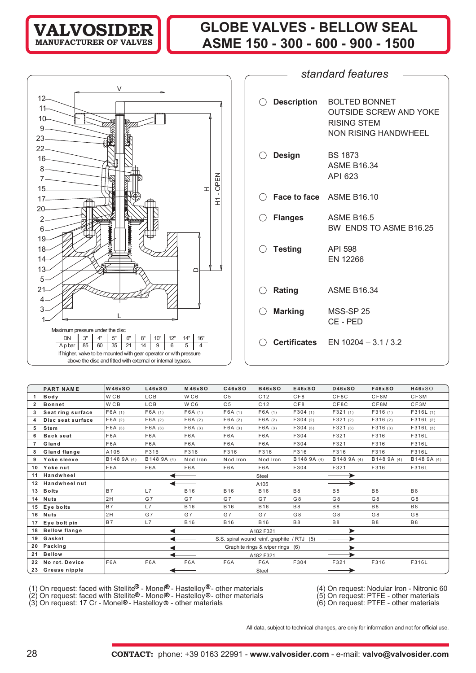## **GLOBE VALVES - BELLOW SEAL ASME 150 - 300 - 600 - 900 - 1500**



| standard features |                    |                                                                                                     |  |  |  |  |  |  |  |  |  |
|-------------------|--------------------|-----------------------------------------------------------------------------------------------------|--|--|--|--|--|--|--|--|--|
|                   |                    |                                                                                                     |  |  |  |  |  |  |  |  |  |
| ( )               | <b>Description</b> | <b>BOLTED BONNET</b><br><b>OUTSIDE SCREW AND YOKE</b><br><b>RISING STEM</b><br>NON RISING HANDWHEEL |  |  |  |  |  |  |  |  |  |
|                   | <b>Design</b>      | <b>BS 1873</b><br><b>ASME B16.34</b><br>API 623                                                     |  |  |  |  |  |  |  |  |  |
|                   |                    | $\bigcirc$ Face to face ASME B16.10                                                                 |  |  |  |  |  |  |  |  |  |
| ()                | <b>Flanges</b>     | <b>ASME B16.5</b><br>BW ENDS TO ASME B16.25                                                         |  |  |  |  |  |  |  |  |  |
| ()                | <b>Testing</b>     | <b>API 598</b><br><b>EN 12266</b>                                                                   |  |  |  |  |  |  |  |  |  |
|                   | Rating             | <b>ASME B16.34</b>                                                                                  |  |  |  |  |  |  |  |  |  |
|                   | <b>Marking</b>     | MSS-SP 25<br>CE - PED                                                                               |  |  |  |  |  |  |  |  |  |
|                   |                    | <b>Certificates</b> $EN 10204 - 3.1 / 3.2$                                                          |  |  |  |  |  |  |  |  |  |

|              | <b>PART NAME</b>     | <b>W46xSO</b>   | L46xSO         | <b>M46xSO</b>   | C46xSO         | <b>B46xSO</b>                               | E46xSO         | <b>D46xSO</b>  | <b>F46xSO</b>  | H46xSO      |
|--------------|----------------------|-----------------|----------------|-----------------|----------------|---------------------------------------------|----------------|----------------|----------------|-------------|
|              | Body                 | W <sub>CB</sub> | <b>LCB</b>     | W <sub>C6</sub> | C <sub>5</sub> | C <sub>12</sub>                             | CF8            | CF8C           | CF8M           | CF3M        |
| $\mathbf{2}$ | <b>Bonnet</b>        | W <sub>CB</sub> | <b>LCB</b>     | WC6             | C <sub>5</sub> | C <sub>12</sub>                             | CFB            | CF8C           | CF8M           | CF3M        |
| 3            | Seat ring surface    | F6A(1)          | F6A(1)         | F6A(1)          | F6A(1)         | F6A(1)                                      | F304(1)        | F321(1)        | F316(1)        | F316L(1)    |
| Δ            | Disc seat surface    | F6A(2)          | F6A(2)         | F6A(2)          | F6A(2)         | F6A(2)                                      | F304(2)        | F321(2)        | F316(2)        | F316L(2)    |
| 5            | <b>Stem</b>          | F6A(3)          | F6A(3)         | F6A(3)          | F6A(3)         | F6A(3)                                      | F304(3)        | F321(3)        | F316(3)        | F316L(3)    |
| 6            | <b>Back seat</b>     | F6A             | F6A            | F6A             | F6A            | F6A                                         | F304           | F321           | F316           | F316L       |
| 7            | Gland                | F6A             | F6A            | F6A             | F6A            | F6A                                         | F304           | F321           | F316           | F316L       |
| 8            | Gland flange         | A105            | F316           | F316            | F316           | F316                                        | F316           | F316           | F316           | F316L       |
| 9            | Yoke sleeve          | B148 9A (4)     | B148 9A (4)    | Nod.Iron        | Nod.Iron       | Nod.Iron                                    | B148 9A (4)    | B148 9A (4)    | B148 9A (4)    | B148 9A (4) |
| 10           | Yoke nut             | F6A             | F6A            | F6A             | F6A            | F6A                                         | F304           | F321           | F316           | F316L       |
| 11           | Handwheel            |                 |                |                 |                | Steel                                       |                |                |                |             |
| 12           | <b>Handwheel nut</b> |                 |                |                 |                | A105                                        |                |                |                |             |
| 13           | <b>Bolts</b>         | <b>B7</b>       | L7             | <b>B16</b>      | <b>B16</b>     | <b>B16</b>                                  | B <sub>8</sub> | B <sub>8</sub> | <b>B8</b>      | <b>B8</b>   |
| 14           | <b>Nuts</b>          | 2H              | G <sub>7</sub> | G <sub>7</sub>  | G <sub>7</sub> | G <sub>7</sub>                              | G <sub>8</sub> | G <sub>8</sub> | G <sub>8</sub> | G8          |
| 15           | Eye bolts            | <b>B7</b>       | L7             | <b>B16</b>      | <b>B16</b>     | <b>B16</b>                                  | <b>B8</b>      | B <sub>8</sub> | <b>B8</b>      | <b>B8</b>   |
| 16           | <b>Nuts</b>          | 2H              | G <sub>7</sub> | G <sub>7</sub>  | G <sub>7</sub> | G <sub>7</sub>                              | G <sub>8</sub> | G <sub>8</sub> | G <sub>8</sub> | G8          |
| 17           | Eye bolt pin         | <b>B7</b>       | L7             | <b>B16</b>      | <b>B16</b>     | <b>B16</b>                                  | <b>B8</b>      | <b>B8</b>      | <b>B8</b>      | <b>B8</b>   |
| 18           | <b>Bellow flange</b> |                 |                |                 |                | A182 F321                                   |                |                |                |             |
| 19           | Gasket               |                 |                |                 |                | S.S. spiral wound reinf. graphite / RTJ (5) |                |                |                |             |
| 20           | Packing              |                 |                |                 |                | Graphite rings & wiper rings (6)            |                |                |                |             |
| 21           | <b>Bellow</b>        |                 |                |                 |                | A182 F321                                   |                |                |                |             |
| 22           | No rot. Device       | F6A             | F6A            | F6A             | F6A            | F6A                                         | F304           | F321           | F316           | F316L       |
|              | 23 Grease nipple     |                 |                |                 |                | Steel                                       |                |                |                |             |

(1) On request: faced with Stellite - Monel - Hastelloy®- other materials (4) On request: Nodular Iron - Nitronic 60

(2) On request: faced with Stellite® - Monel® - Hastelloy®- other materials (5) On request: PTFE - other materials

(3) On request: 17 Cr - Monel®- Hastelloy® - other materials (6) On request: PTFE - other materials

- 
- 

All data, subject to technical changes, are only for information and not for official use.